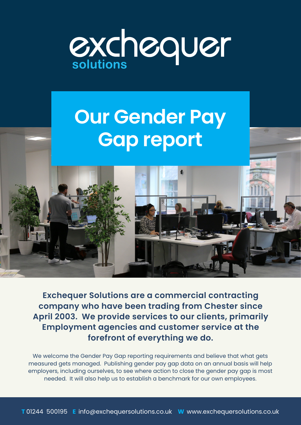

## **Our Gender Pay Gap report**

**Exchequer Solutions are a commercial contracting company who have been trading from Chester since April 2003. We provide services to our clients, primarily Employment agencies and customer service at the forefront of everything we do.**

We welcome the Gender Pay Gap reporting requirements and believe that what gets measured gets managed. Publishing gender pay gap data on an annual basis will help employers, including ourselves, to see where action to close the gender pay gap is most needed. It will also help us to establish a benchmark for our own employees.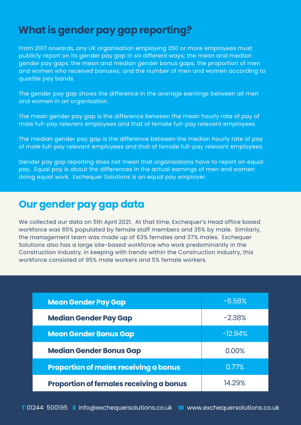## **What is gender pay gap reporting?**

From 2017 onwards, any UK organisation employing 250 or more employees must publicly report on its gender pay gap in six different ways; the mean and median gender pay gaps: the mean and median gender bonus gaps; the proportion of men and women who received bonuses; and the number of men and women according to quartile pay bands.

The gender pay gap shows the difference in the average earnings between all men and women in an organisation.

The mean gender pay gap is the difference between the mean hourly rate of pay of male full-pay relevant employees and that of female full-pay relevant employees.

The median gender pay gap is the difference between the median hourly rate of pay of male full-pay relevant employees and that of female full-pay relevant employees.

Gender pay gap reporting does not mean that organisations have to report on equal pay. Equal pay is about the differences in the actual earnings of men and women doing equal work. Exchequer Solutions is an equal pay employer.

## **Our gender pay gap data**

We collected our data on 5th April 2021. At that time, Exchequer's Head office based workforce was 65% populated by female staff members and 35% by male. Similarly, the management team was made up of 63% females and 37% males. Exchequer Solutions also has a large site-based workforce who work predominantly in the Construction Industry, in keeping with trends within the Construction industry, this workforce consisted of 95% male workers and 5% female workers.

| <b>Mean Gender Pay Gap</b>                   | $-6.58%$  |
|----------------------------------------------|-----------|
| <b>Median Gender Pay Gap</b>                 | $-2.38%$  |
| <b>Mean Gender Bonus Gap</b>                 | $-12.94%$ |
| <b>Median Gender Bonus Gap</b>               | 0.00%     |
| <b>Proportion of males receiving a bonus</b> | 0.77%     |
| Proportion of females receiving a bonus      | 14.29%    |